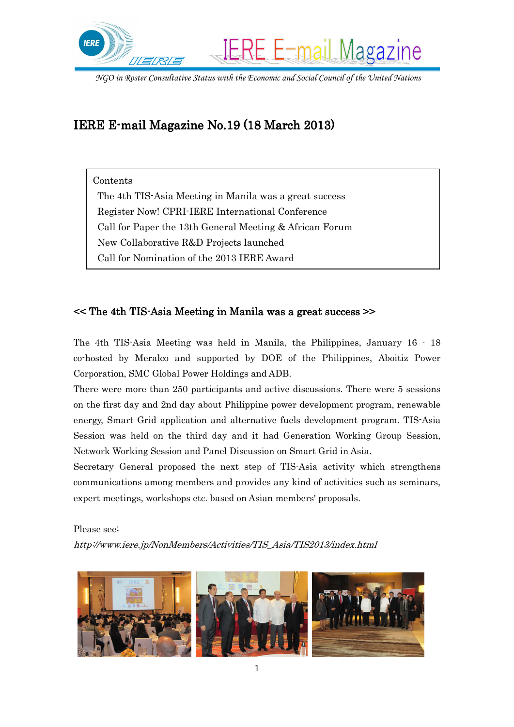

# IERE E-mail Magazine No.19 (18 March 2013)

Contents

 The 4th TIS-Asia Meeting in Manila was a great success Register Now! CPRI-IERE International Conference Call for Paper the 13th General Meeting & African Forum New Collaborative R&D Projects launched Call for Nomination of the 2013 IERE Award

#### $\leq$  The 4th TIS-Asia Meeting in Manila was a great success  $\geq$

The 4th TIS-Asia Meeting was held in Manila, the Philippines, January 16 - 18 co-hosted by Meralco and supported by DOE of the Philippines, Aboitiz Power Corporation, SMC Global Power Holdings and ADB.

There were more than 250 participants and active discussions. There were 5 sessions on the first day and 2nd day about Philippine power development program, renewable energy, Smart Grid application and alternative fuels development program. TIS-Asia Session was held on the third day and it had Generation Working Group Session, Network Working Session and Panel Discussion on Smart Grid in Asia.

Secretary General proposed the next step of TIS-Asia activity which strengthens communications among members and provides any kind of activities such as seminars, expert meetings, workshops etc. based on Asian members' proposals.

Please see;

http://www.iere.jp/NonMembers/Activities/TIS\_Asia/TIS2013/index.html

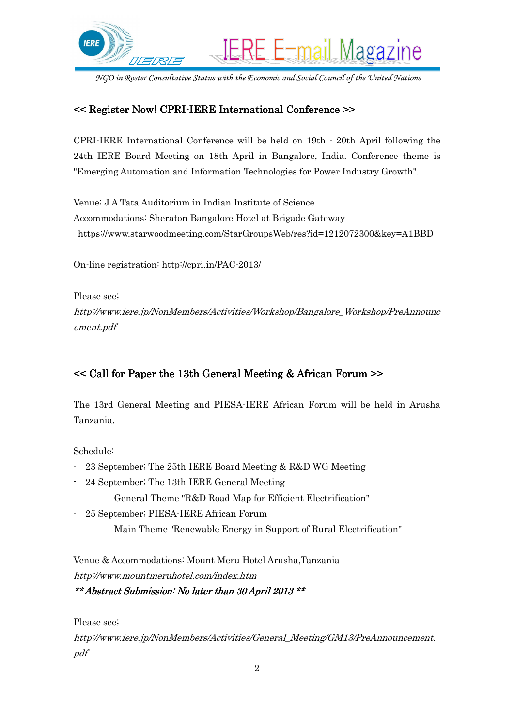

#### << Register Now! CPRI-IERE International Conference >>

CPRI-IERE International Conference will be held on 19th - 20th April following the 24th IERE Board Meeting on 18th April in Bangalore, India. Conference theme is "Emerging Automation and Information Technologies for Power Industry Growth".

Venue: J A Tata Auditorium in Indian Institute of Science Accommodations: Sheraton Bangalore Hotel at Brigade Gateway https://www.starwoodmeeting.com/StarGroupsWeb/res?id=1212072300&key=A1BBD

On-line registration: http://cpri.in/PAC-2013/

Please see;

http://www.iere.jp/NonMembers/Activities/Workshop/Bangalore\_Workshop/PreAnnounc ement.pdf

## << Call for Paper the 13th General Meeting & African Forum >>

The 13rd General Meeting and PIESA-IERE African Forum will be held in Arusha Tanzania.

Schedule:

- 23 September; The 25th IERE Board Meeting & R&D WG Meeting
- 24 September; The 13th IERE General Meeting

General Theme "R&D Road Map for Efficient Electrification"

- 25 September; PIESA-IERE African Forum Main Theme "Renewable Energy in Support of Rural Electrification"

Venue & Accommodations: Mount Meru Hotel Arusha,Tanzania http://www.mountmeruhotel.com/index.htm

\*\* Abstract Submission: No later than 30 April 2013 \*\*

Please see;

http://www.iere.jp/NonMembers/Activities/General\_Meeting/GM13/PreAnnouncement. pdf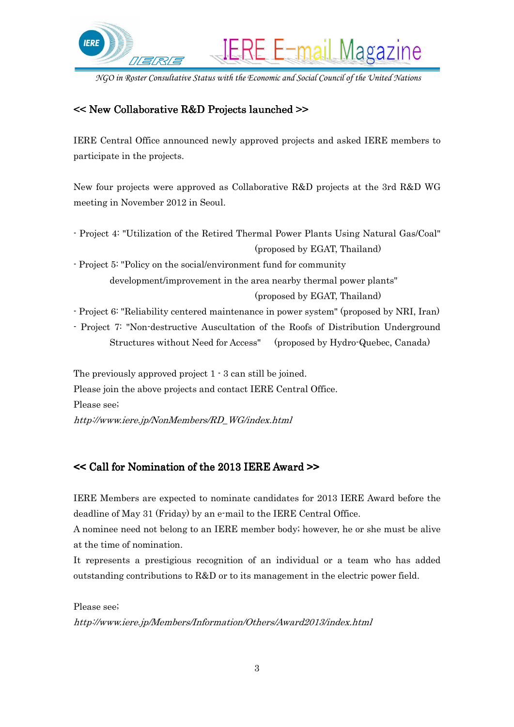

## << New Collaborative R&D Projects launched >>

IERE Central Office announced newly approved projects and asked IERE members to participate in the projects.

New four projects were approved as Collaborative R&D projects at the 3rd R&D WG meeting in November 2012 in Seoul.

- Project 4: "Utilization of the Retired Thermal Power Plants Using Natural Gas/Coal" (proposed by EGAT, Thailand)

- Project 5: "Policy on the social/environment fund for community development/improvement in the area nearby thermal power plants" (proposed by EGAT, Thailand)

- Project 6: "Reliability centered maintenance in power system" (proposed by NRI, Iran)

- Project 7: "Non-destructive Auscultation of the Roofs of Distribution Underground Structures without Need for Access" (proposed by Hydro-Quebec, Canada)

The previously approved project 1 - 3 can still be joined. Please join the above projects and contact IERE Central Office. Please see; http://www.iere.jp/NonMembers/RD\_WG/index.html

## << Call for Nomination of the 2013 IERE Award >>

IERE Members are expected to nominate candidates for 2013 IERE Award before the deadline of May 31 (Friday) by an e-mail to the IERE Central Office.

A nominee need not belong to an IERE member body; however, he or she must be alive at the time of nomination.

It represents a prestigious recognition of an individual or a team who has added outstanding contributions to R&D or to its management in the electric power field.

Please see;

http://www.iere.jp/Members/Information/Others/Award2013/index.html